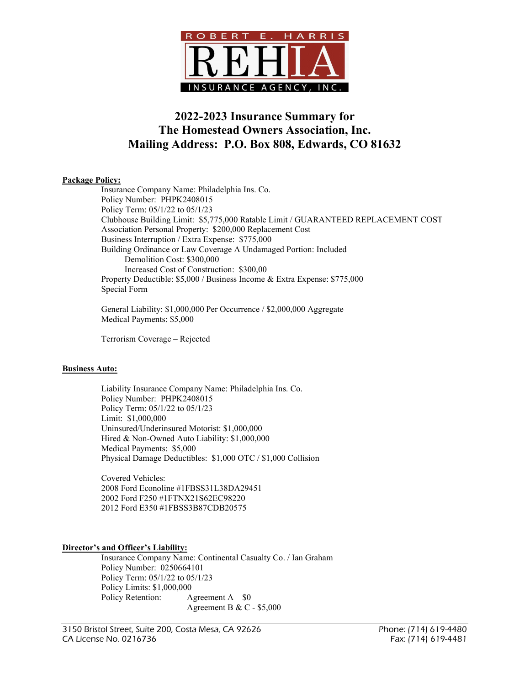

# 2022-2023 Insurance Summary for The Homestead Owners Association, Inc. Mailing Address: P.O. Box 808, Edwards, CO 81632

## Package Policy:

 Insurance Company Name: Philadelphia Ins. Co. Policy Number: PHPK2408015 Policy Term: 05/1/22 to 05/1/23 Clubhouse Building Limit: \$5,775,000 Ratable Limit / GUARANTEED REPLACEMENT COST Association Personal Property: \$200,000 Replacement Cost Business Interruption / Extra Expense: \$775,000 Building Ordinance or Law Coverage A Undamaged Portion: Included Demolition Cost: \$300,000 Increased Cost of Construction: \$300,00 Property Deductible: \$5,000 / Business Income & Extra Expense: \$775,000 Special Form

 General Liability: \$1,000,000 Per Occurrence / \$2,000,000 Aggregate Medical Payments: \$5,000

Terrorism Coverage – Rejected

### Business Auto:

 Liability Insurance Company Name: Philadelphia Ins. Co. Policy Number: PHPK2408015 Policy Term: 05/1/22 to 05/1/23 Limit: \$1,000,000 Uninsured/Underinsured Motorist: \$1,000,000 Hired & Non-Owned Auto Liability: \$1,000,000 Medical Payments: \$5,000 Physical Damage Deductibles: \$1,000 OTC / \$1,000 Collision

 Covered Vehicles: 2008 Ford Econoline #1FBSS31L38DA29451 2002 Ford F250 #1FTNX21S62EC98220 2012 Ford E350 #1FBSS3B87CDB20575

### Director's and Officer's Liability:

 Insurance Company Name: Continental Casualty Co. / Ian Graham Policy Number: 0250664101 Policy Term: 05/1/22 to 05/1/23 Policy Limits: \$1,000,000 Policy Retention:  $\triangle$  Agreement A – \$0 Agreement B & C - \$5,000